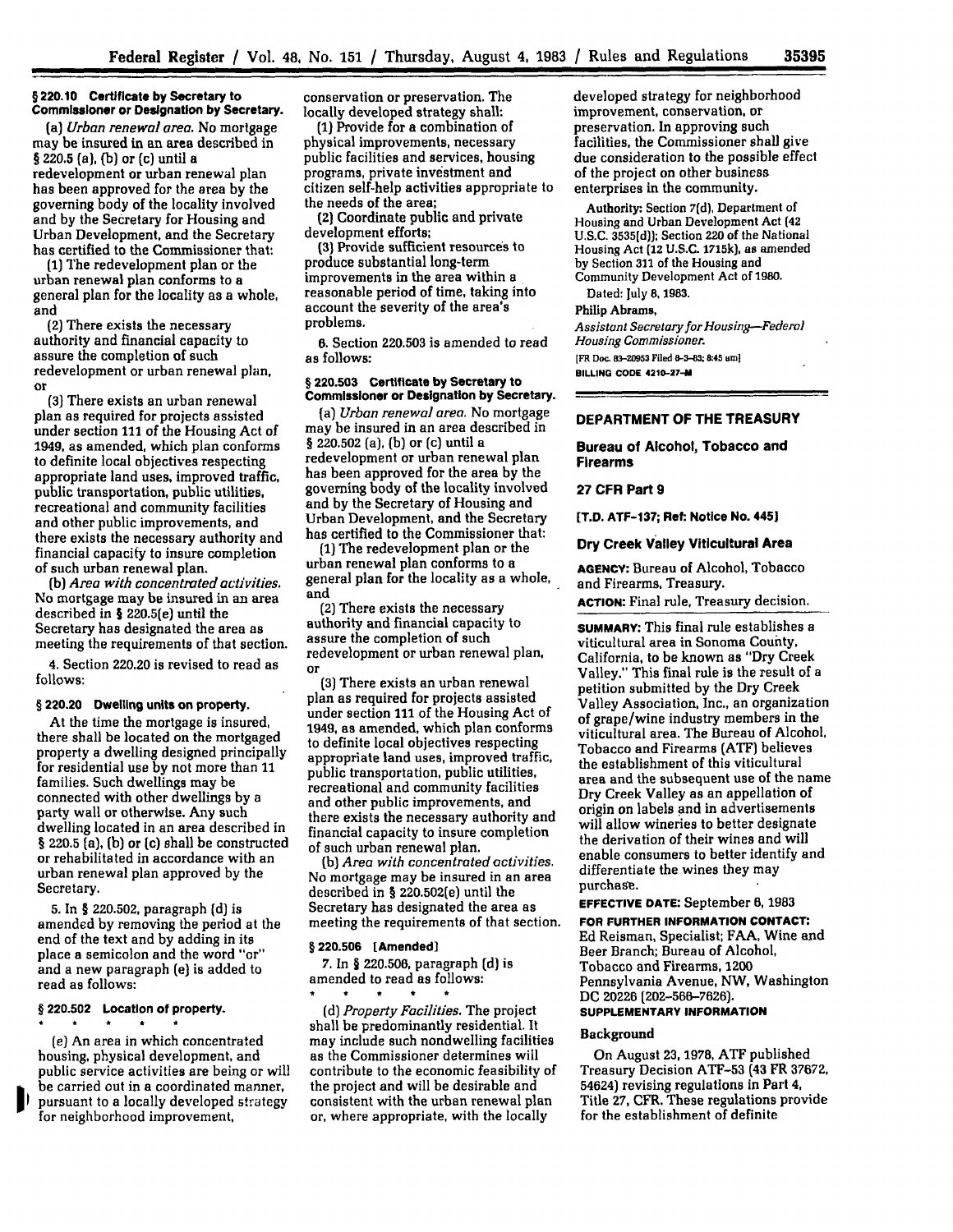#### **§220.10 Certificate by Secretary to Commissioner or Designation by Secretary.**

*(a) Urban renewal area.* No mortgage may be insured in an area described in § **220.5** (a), **(b)** or **(c)** until a redevelopment or urban renewal plan has been approved for the area **by** the governing body of the locality involved and **by** the Secretary for Housing and Urban Development, and the Secretary has certified to the Commissioner that:

**(1)** The redevelopment plan or the urban renewal plan conforms to a general plan for the locality as a whole, and

(2) There exists the necessary authority and financial capacity to assure the completion of such redevelopment or urban renewal plan, or

**(3)** There exists an urban renewal plan as required for projects assisted under section 111 of the Housing Act of 1949, as amended, which plan conforms to definite local objectives respecting appropriate land uses, improved traffic, public transportation, public utilities, recreational and community facilities and other public improvements, and there exists the necessary authority and financial capacity to insure completion of such urban renewal plan.

*(b) Area with concentrated activities.* No mortgage may be insured in an area described in § 220.5(e) until the Secretary has designated the area as meeting the requirements of that section.

4. Section 220.20 is revised to read as follows:

# **§** 220.20 **Dwelling units on property.**

At the time the mortgage is insured, there shall be located on the mortgaged property a dwelling designed principally for residential use by not more than **11** families. Such dwellings may be connected with other dwellings by a party wall or otherwise. Any such dwelling located in an area described in § **220.5** (a), **(b)** or [c) shall be constructed or rehabilitated in accordance with an urban renewal plan approved by the Secretary.

**5.** In § 220.502, paragraph **(d)** is amended by removing the period at the end of the text and by adding in its place a semicolon and the word "or" and a new paragraph (e) is added to read as follows:

# § **220.502 Location of property.**

 $\bullet$ 

(e) An area in which concentrated housing, physical development, and public service activities are being or will be carried out in a coordinated manner, pursuant to a locally developed strategy for neighborhood improvement,

conservation or preservation. The locally developed strategy shall:

**(1)** Provide for a combination of physical improvements, necessary public facilities and services, housing programs, private investment and citizen self-help activities appropriate to the needs of the area;

(2) Coordinate public and private development efforts;

**(3)** Provide sufficient resources to produce substantial long-term improvements in the area within a reasonable period of time, taking into account the severity of the area's problems.

**6.** Section **220.503** is amended to read as follows:

#### **§ 220.503 Certificate by Secretary to Commissioner or Designation by Secretary.**

[a) *Urban renewal area.* No mortgage may be insured in an area described in § **220.502** [a), **(b)** or (c) until a redevelopment or urban renewal plan has been approved for the area **by** the governing body of the locality involved and **by** the Secretary of Housing and Urban Development, and the Secretary has certified to the Commissioner that:

**(1)** The redevelopment plan or the urban renewal plan conforms to a general plan for the locality as a whole, and

(2) There exists the necessary authority and financial capacity to assure the completion of such redevelopment or urban renewal plan, or

**(3)** There exists an urban renewal plan as required for projects assisted under section **111** of the Housing Act of 1949, as amended, which plan conforms to definite local objectives respecting appropriate land uses, improved traffic, public transportation, public utilities, recreational and community facilities and other public improvements, and there exists the necessary authority and financial capacity to insure completion of such urban renewal plan.

**[b)** *Area with concentrated activities.* No mortgage may be insured in an area described in § 220.502(e) until the Secretary has designated the area as meeting the requirements of that section.

#### **§ 220.506 [Amended]**

 $\star$ 

 $\bullet$ 

**7.** In § **220.506,** paragraph **[d)** is amended to read as follows:  $\bullet$ 

*(d) Property Facilities.* The project shall be predominantly residential. It may include such nondwelling facilities as the Commissioner determines will contribute to the economic feasibility of the project and will be desirable and consistent with the urban renewal plan or, where appropriate, with the locally

developed strategy for neighborhood improvement, conservation, or preservation. In approving such facilities, the Commissioner shall give due consideration to the possible effect of the project on other business enterprises in the community.

Authority: Section **7(d),** Department of Housing and Urban Development Act **[42** U.S.C. **3535[d));** Section 220 of the National Housing Act (12 **U.S.C. 1715k),** as amended by Section **311** of the Housing and Community Development Act of 1980.

Dated: July **8, 1983.**

### Philip Abrams,

*Assistant Secretary for Housing-Federal Housing Commissioner.* [FR Doc. 83-20953 Filed 8-3-83; 8:45 am] **BILLING CODE 4210-27-M**

# **DEPARTMENT OF THE TREASURY**

**Bureau of Alcohol, Tobacco and Firearms**

### **27 CFR Part 9**

**[T.D. ATF-137; Ret: Notice No. 445]**

**Dry Creek Valley Viticultural Area**

**AGENCY:** Bureau **of** Alcohol, Tobacco and Firearms, Treasury.

**ACTION:** Final rule, Treasury decision.

**SUMMARY:** This final rule establishes a viticultural area in Sonoma County, California, to be known as "Dry Creek Valley." This final rule is the result of a petition submitted by the Dry Creek Valley Association, Inc., an organization of grape/wine industry members in the viticultural area. The Bureau of Alcohol, Tobacco and Firearms **(ATF)** believes the establishment of this viticultural area and the subsequent use of the name Dry Creek Valley as an appellation of origin on labels and in advertisements will allow wineries to better designate the derivation of their wines and will enable consumers to better identify and differentiate the wines they may purchase.

**EFFECTIVE DATE:** September **6, 1983**

**FOR FURTHER INFORMATION CONTACT: Ed** Reisman, Specialist; FAA, Wine and Beer Branch; Bureau of Alcohol, Tobacco and Firearms, 1200 Pennsylvania Avenue, NW, Washington **DC** 20226 **[202-566-7626). SUPPLEMENTARY INFORMATION**

#### **Background**

On August **23, 1978, ATF** published Treasury Decision **ATF-53** (43 FR **37672,** 54624) revising regulations in Part 4, Title **27,** CFR. These regulations provide for the establishment of definite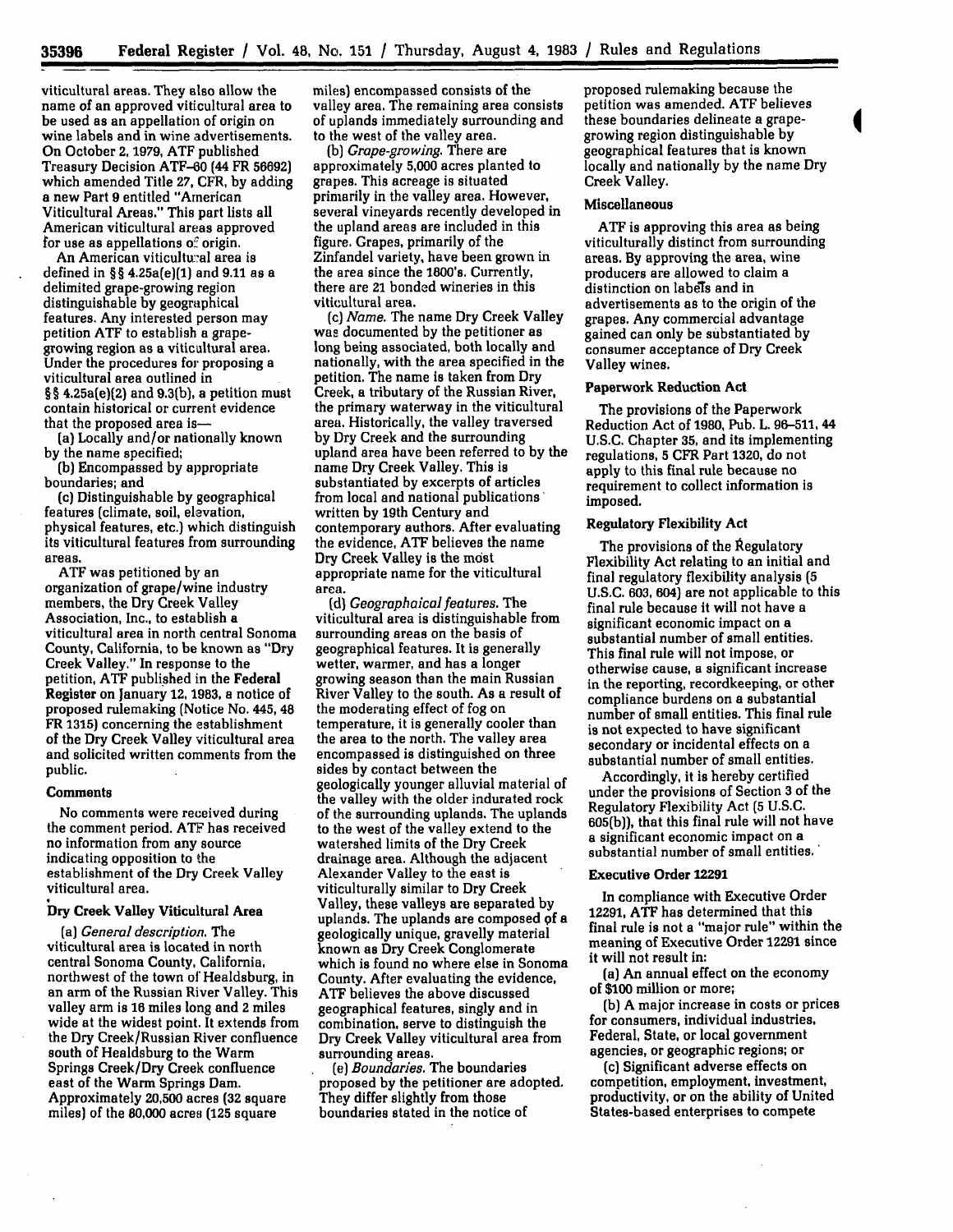viticultural areas. They also allow the name of an approved viticultural area to be used as an appellation of origin on wine labels and in wine advertisements. On October **2, 1979, ATF** published Treasury Decision ATF-60 (44 FR 56692) which amended Title **27,** CFR, by adding a new Part 9 entitled "American Viticultural Areas." This part lists all American viticultural areas approved for use as appellations  $o^c$  origin.

An American viticultural area is defined in §§ 4.25a(e)(1) and **9.11** as a delimited grape-growing region distinguishable **by** geographical features. Any interested person may petition **ATF** to establish a grapegrowing region as a viticultural area. Under the procedures for proposing a viticultural area outlined in **§ §** 4.25a(e){2) and **9.3(b),** a petition must contain historical or current evidence that the proposed area is-

(a) Locally and/or nationally known by the name specified;

**(b)** Encompassed by appropriate boundaries; and

(c) Distinguishable by geographical features (climate, soil, elevation, physical features, etc.) which distinguish its viticultural features from surrounding areas.

**ATF** was petitioned by an organization of grape/wine industry members, the Dry Creek Valley Association, Inc., to establish a viticultural area in north central Sonoma County, California, to be known as "Dry Creek Valley." In response to the petition, **ATF** published in the Federal Register on January 12, **1983,** a notice of proposed rulemaking (Notice No. **445, 48** FR **1315)** concerning the establishment of the Dry Creek Valley viticultural area and solicited written comments from the public.

### **Comments**

No comments were received during the comment period. **ATF** has received no information from any source indicating opposition to the establishment of the Dry Creek Valley viticultural area.

### **Dry Creek Valley Viticultural Area**

*(a) General description. The* viticultural area is located in north central Sonoma County, California, northwest of the town of Healdsburg, in an arm of the Russian River Valley. This valley arm is **16** miles long and **2** miles wide at the widest point. It extends from the Dry Creek/Russian River confluence south of Healdsburg to the Warm Springs Creek/Dry Creek confluence east of the Warm Springs Dam. Approximately **20,500** acres **(32** square miles) of the 80,000 acres **(125** square

miles) encompassed consists of the valley area. The remaining area consists of uplands immediately surrounding and to the west of the valley area.

*(b) Grape-growing.* There are approximately **5,000** acres planted to grapes. This acreage is situated primarily in the valley area. However, several vineyards recently developed in the upland areas are included in this figure. Grapes, primarily of the Zinfandel variety, have been grown in the area since the 1800's. Currently, there are 21 bonded wineries in this viticultural area.

*(c) Name.* The name Dry Creek Valley was documented **by** the petitioner as long being associated, both locally and nationally, with the area specified in the petition. The name is taken from Dry Creek, a tributary of the Russian River, the primary waterway in the viticultural area. Historically, the valley traversed by Dry Creek and the surrounding upland area have been referred to by the name Dry Creek Valley. This is substantiated by excerpts of articles from local and national publications' written **by** 19th Century and contemporary authors. After evaluating the evidence, **ATF** believes the name Dry Creek Valley is the most appropriate name for the viticultural area.

*(d) Geographaical features.* The viticultural area is distinguishable from surrounding areas on the basis of geographical features. It is generally wetter, warmer, and has a longer growing season than the main Russian River Valley to the south. As a result of the moderating effect of fog on temperature, it is generally cooler than the area to the north. The valley area encompassed is distinguished on three sides by contact between the geologically younger alluvial material of the valley with the older indurated rock of the surrounding uplands. The uplands to the west of the valley extend to the watershed limits of the Dry Creek drainage area. Although the adjacent Alexander Valley to the east is viticulturally similar to Dry Creek Valley, these valleys are separated by uplands. The uplands are composed **of** a geologically unique, gravelly material known as Dry Creek Conglomerate which is found no where else in Sonoma County. After evaluating the evidence, ATF believes the above discussed geographical features, singly and in combination, serve to distinguish the Dry Creek Valley viticultural area from surrounding areas.

*(e) Boundaries.* The boundaries proposed by the petitioner are adopted. They differ slightly from those boundaries stated in the notice of

proposed rulemaking because the petition was amended. **ATF** believes these boundaries delineate a grapegrowing region distinguishable by geographical features that is known locally and nationally by the name Dry Creek Valley.

#### Miscellaneous

ATF is approving this area as being viticulturally distinct from surrounding areas. By approving the area, wine producers are allowed to claim a distinction on labefs and in advertisements as to the origin of the grapes. Any commercial advantage gained can only be substantiated by consumer acceptance of Dry Creek Valley wines.

## Paperwork Reduction Act

The provisions of the Paperwork Reduction Act of **1980,** Pub. L. **96-511, 44 U.S.C.** Chapter **35,** and its implementing regulations, **5** CFR Part **1320,** do not apply to this final rule because no requirement to collect information is imposed.

# Regulatory Flexibility Act

The provisions of the Regulatory Flexibility Act relating to an initial and final regulatory flexibility analysis **(5** U.S.C. **603, 604)** are not applicable to this final rule because it will not have a significant economic impact on a substantial number of small entities. This final rule will not impose, or otherwise cause, a significant increase in the reporting, recordkeeping, or other compliance burdens on a substantial number of small entities. This final rule is not expected to have significant secondary or incidental effects on a substantial number of small entities.

Accordingly, it is hereby certified under the provisions of Section **3** of the Regulatory Flexibility Act **(5** U.S.C. **605(b)),** that this final rule will not have a significant economic impact on a substantial number of small entities.

### Executive **Order 12291**

In compliance with Executive Order **12291, ATF** has determined that this final rule is not a "major rule" within the meaning of Executive Order **12291** since it will not result in:

(a) An annual effect on the economy of \$100 million or more;

**(b)** A major increase in costs or prices for consumers, individual industries, Federal, State, or local government agencies, or geographic regions; or

(c) Significant adverse effects on competition, employment, investment, productivity, or on the ability of United States-based enterprises to compete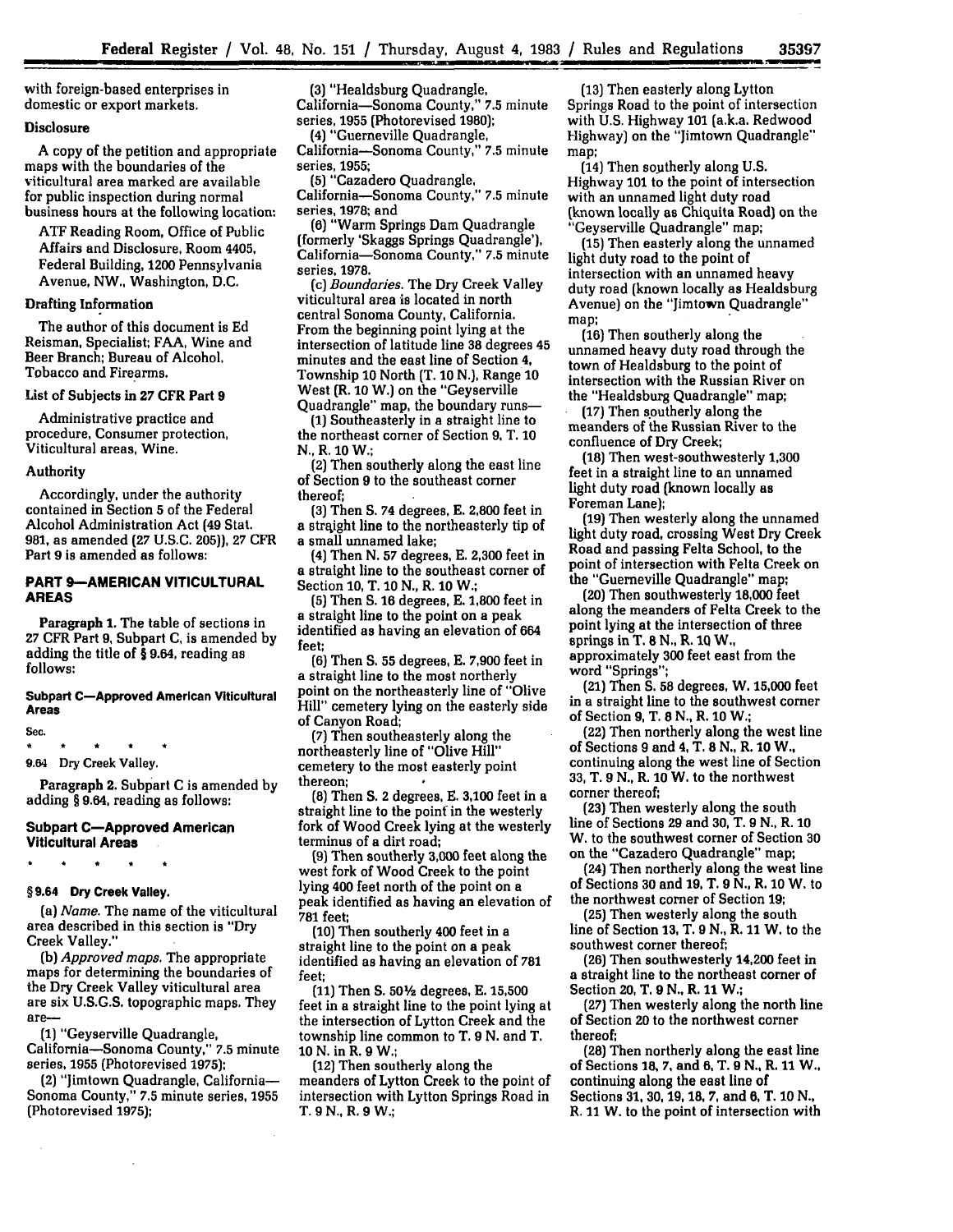with foreign-based enterprises in domestic or export markets.

### **Disclosure**

A copy of the petition and appropriate maps with the boundaries of the viticultural area marked are available for public inspection during normal business hours at the following location:

**ATF** Reading Room, Office of Public Affairs and Disclosure, Room 4405, Federal Building, 1200 Pennsylvania Avenue, NW., Washington, **D.C.**

### Drafting Information

The author of this document is **Ed** Reisman, Specialist; **FAA,** Wine and Beer Branch; Bureau of Alcohol, Tobacco and Firearms.

# List of Subjects in **27** CFR Part **9**

Administrative practice and procedure, Consumer protection, Viticultural areas, Wine.

### Authority

Accordingly, under the authority contained in Section **5** of the Federal Alcohol Administration Act (49 Stat. 981, as amended **(27** U.S.C. 205)), **27** CFR Part 9 is amended as follows:

### **PART 9--AMERICAN VITICULTURAL AREAS**

Paragraph **1.** The table of sections in 27 CFR Part 9, Subpart **C,** is amended **by** adding the title of § 9.64, reading as **follows:**

#### **Subpart C-Approved American Viticultural Areas**

Sec.

# 9.64 Dry Creek Valley.

Paragraph 2. Subpart **C** is amended **by** adding § 9.64, reading as follows:

### **Subpart C-Approved American Viticultural Areas**

 $\bullet$  .

 $\bullet$ **§ 9.64 Dry Creek Valley.**

*(a) Name.* The name of the viticultural

area described in this section is "Dry Creek Valley."

**(b)** *Approved maps.* The appropriate maps for determining the boundaries of the Dry Creek Valley viticultural area are six **U.S.G.S.** topographic maps. They are-

(1) "Geyserville Quadrangle, California-Sonoma County," **7.5** minute series, **1955** (Photorevised 1975);

(2) "Jimtown Quadrangle, California-Sonoma County," 7.5 minute series, 1955 (Photorevised 1975);

**(3)** "Healdsburg Quadrangle, California-Sonoma County," **7.5** minute series, 1955 (Photorevised 1980); (4) "Guerneville Quadrangle,

California-Sonoma County," 7.5 minute series, 1955;

**(5)** "Cazadero Quadrangle,

California-Sonoma County," **7.5** minute series, **1978;** and

**(6)** "Warm Springs Dam Quadrangle (formerly 'Skaggs Springs Quadrangle'), California-Sonoma County," 7.5 minute series, 1978.

(c) *Boundaries.* The Dry Creek Valley viticultural area is located in north central Sonoma County, California. From the beginning point lying at the intersection of latitude line **38** degrees 45 minutes and the east line of Section 4, Township 10 North (T. 10 **N.),** Range 10 West (R. 10 W.) on the "Geyserville Quadrangle" map, the boundary runs-

**(1)** Southeasterly in a straight line to the northeast corner of Section **9.** T. 10 N., R. **10 W.;**

(2) Then southerly along the east line of Section 9 to the southeast corner thereof;

**(3)** Then **S.** 74 degrees, **E. 2,800** feet in a strqight line to the northeasterly tip of a small unnamed lake;

(4) Then **N.** 57 degrees, **E. 2,300** feet in a straight line to the southeast corner of Section 10, T. **10 N.,** R. 10 W.;

**(5)** Then **S.** 16 degrees, **E. 1,800** feet in a straight line to the point on a peak identified as having an elevation of 664 feet;

(6) Then **S.** 55 degrees, **E. 7,900** feet in a straight line to the most northerly point on the northeasterly line of "Olive Hill" cemetery lying on the easterly side of Canyon Road;

**(7)** Then southeasterly along the northeasterly line of "Olive Hill" cemetery to the most easterly point thereon;

(8) Then **S.** 2 degrees, **E. 3,100** feet in a straight line to the poinf in the westerly fork of Wood Creek lying at the westerly terminus of a dirt road;

**(9)** Then southerly **3,000** feet along the west fork of Wood Creek to the point lying 400 feet north of the point on a peak identified as having an elevation of **781** feet;

(10) Then southerly 400 feet in a straight line to the point on a peak identified as having an elevation of **781** feet;

(11) Then **S. 50 /** degrees, **E. 15,500** feet in a straight line to the point lying at the intersection of Lytton Creek and the township line common to T. **9 N.** and T. **10 N.** in R. **9** W.;

(12) Then southerly along the meanders of Lytton Creek to the point of intersection with Lytton Springs Road in T. **9 N.,** R. **9 W.;**

**(13)** Then easterly along Lytton Springs Road to the point of intersection with U.S. Highway **101** (a.k.a. Redwood Highway) on the "Jimtown Quadrangle" map;

(14) Then southerly along U.S. Highway **101** to the point of intersection with an unnamed light duty road (known locally as Chiquita Road) on the "Geyserville Quadrangle" map;

(15) Then easterly along the unnamed light duty road to the point of intersection with an unnamed heavy duty road (known locally as Healdsburg Avenue) on the "Jimtown Quadrangle" map;

(16) Then southerly along the unnamed heavy duty road through the town of Healdsburg to the point of intersection with the Russian River on the "Healdsburg Quadrangle" map;

(17) Then southerly along the meanders of the Russian River to the confluence of Dry Creek;

**(18)** Then west-southwesterly 1,300 feet in a straight line to an unnamed light duty road (known locally as Foreman Lane);

(19) Then westerly along the unnamed light duty road, crossing West Dry Creek Road and passing Felta School, to the point of intersection with Felts Creek on the "Guerneville Quadrangle" map;

(20) Then southwesterly 18,000 feet along the meanders of Felta Creek to the point lying at the intersection of three springs in T. **8 N.,** R. **10** W., approximately **300** feet east from the word "Springs";

(21) Then **S. 58** degrees, W. 15,000 feet in a straight line to the southwest corner of Section **9,** T. **8 N.,** R. 10 W.;

(22) Then northerly along the west line of Sections **9** and 4, T. **8 N.,** R. 10 W., continuing along the west line of Section **33,** T. **9 N.,** R. 10 W. to the northwest corner thereof;

**(23)** Then westerly along the south line of Sections 29 and **30,** T. 9 **N.,** R. 10 W. to the southwest corner of Section **30** on the "Cazadero Quadrangle" map;

(24) Then northerly along the west line of Sections **30** and 19, T. **9** N., R. **10** W. to the northwest corner of Section 19;

(25) Then westerly along the south line of Section **13,** T. 9 N., R. 11 W. to the southwest corner thereof;

(26) Then southwesterly 14,200 feet in a straight line to the northeast corner of Section 20, T. 9 **N.,** R. 11 W.;

**(27)** Then westerly along the north line of Section 20 to the northwest corner thereof;

(28) Then northerly along the east line of Sections **18,** 7, and **6,** T. 9 **N.,** R. 11 W., continuing along the east line of Sections **31, 30, 19, 18,** 7, and 6, T. 10 N., R. 11 W. to the point of intersection with

**35397**